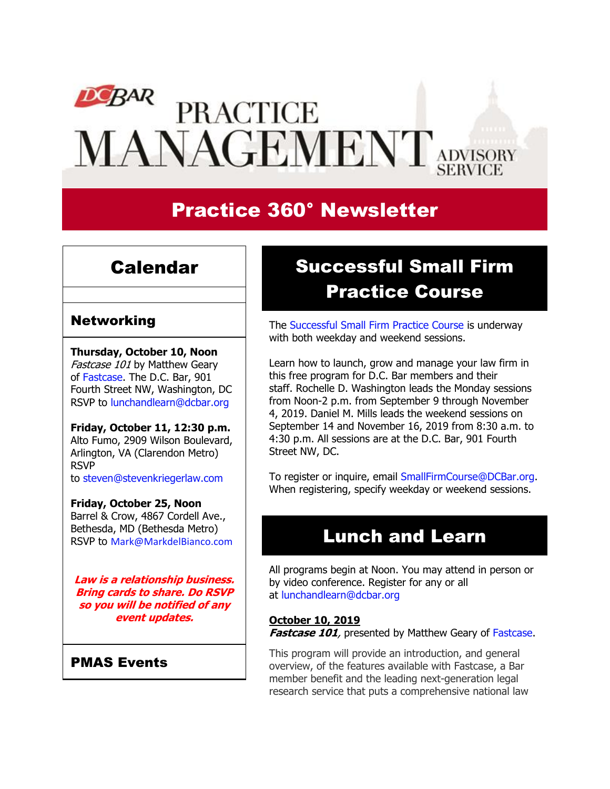# $DCBAR$ **PRACTICE** MANAGEMENT ADVISORY

# Practice 360° Newsletter

### Calendar

### Networking

**Thursday, October 10, Noon** Fastcase 101 by Matthew Geary of [Fastcase.](https://www.dcbar.org/membership/member-benefits/Legal-Research.cfm?utm_source=Real%20Magnet&utm_medium=INSERT_CHANNEL&utm_campaign=INSERT_LINK_ID) The D.C. Bar, 901 Fourth Street NW, Washington, DC RSVP to [lunchandlearn@dcbar.org](mailto:lunchandlearn@dcbar.org?subject=RSVP%20to%20Lunch%20and%20Learn)

**Friday, October 11, 12:30 p.m.** Alto Fumo, 2909 Wilson Boulevard, Arlington, VA (Clarendon Metro) RSVP to [steven@stevenkriegerlaw.com](mailto:steven@stevenkriegerlaw.com?subject=RSVP%20to%20networking%20event%20at%20Alto%20Fumo) 

#### **Friday, October 25, Noon**

Barrel & Crow, 4867 Cordell Ave., Bethesda, MD (Bethesda Metro) RSVP to [Mark@MarkdelBianco.com](mailto:Mark@MarkdelBianco.com?subject=RSVP%20to%20networking%20event%20at%20Barrel%20%26%20Crow)

**Law is a relationship business. Bring cards to share. Do RSVP so you will be notified of any event updates.**

### PMAS Events

# Successful Small Firm Practice Course

The [Successful Small Firm Practice Course](http://www.dcbar.org/bar-resources/practice-management-advisory-service/successful-practice.cfm?utm_source=Real%20Magnet&utm_medium=INSERT_CHANNEL&utm_campaign=INSERT_LINK_ID) is underway with both weekday and weekend sessions.

Learn how to launch, grow and manage your law firm in this free program for D.C. Bar members and their staff. Rochelle D. Washington leads the Monday sessions from Noon-2 p.m. from September 9 through November 4, 2019. Daniel M. Mills leads the weekend sessions on September 14 and November 16, 2019 from 8:30 a.m. to 4:30 p.m. All sessions are at the D.C. Bar, 901 Fourth Street NW, DC.

To register or inquire, email [SmallFirmCourse@DCBar.org.](mailto:SmallFirmCourse@DCBar.org) When registering, specify weekday or weekend sessions.

## Lunch and Learn

All programs begin at Noon. You may attend in person or by video conference. Register for any or all at [lunchandlearn@dcbar.org](mailto:lunchandlearn@dcbar.org?subject=Lunch%20and%20Learn)

#### **October 10, 2019**

**Fastcase 101**, presented by Matthew Geary of [Fastcase.](https://www.dcbar.org/membership/member-benefits/Legal-Research.cfm?utm_source=Real%20Magnet&utm_medium=INSERT_CHANNEL&utm_campaign=INSERT_LINK_ID)

This program will provide an introduction, and general overview, of the features available with Fastcase, a Bar member benefit and the leading next-generation legal research service that puts a comprehensive national law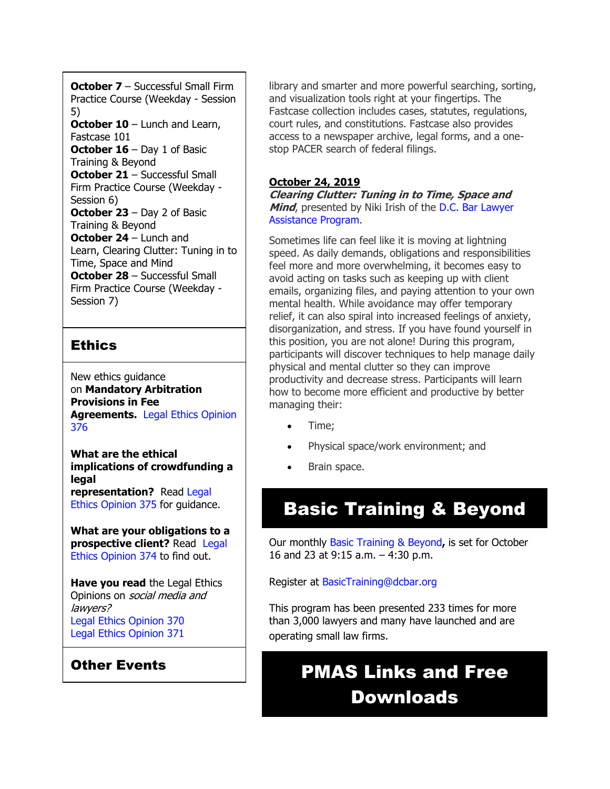**October 7** – Successful Small Firm Practice Course (Weekday - Session 5) **October 10** – Lunch and Learn, Fastcase 101 **October 16** – Day 1 of Basic Training & Beyond **October 21** – Successful Small Firm Practice Course (Weekday - Session 6) **October 23** – Day 2 of Basic Training & Beyond **October 24** – Lunch and Learn, Clearing Clutter: Tuning in to Time, Space and Mind **October 28** – Successful Small Firm Practice Course (Weekday - Session 7)

### **Ethics**

New ethics guidance on **Mandatory Arbitration Provisions in Fee Agreements.** [Legal Ethics Opinion](https://www.dcbar.org/bar-resources/legal-ethics/opinions/Ethics-Opinion-376.cfm?utm_source=Real%20Magnet&utm_medium=INSERT_CHANNEL&utm_campaign=INSERT_LINK_ID)  [376](https://www.dcbar.org/bar-resources/legal-ethics/opinions/Ethics-Opinion-376.cfm?utm_source=Real%20Magnet&utm_medium=INSERT_CHANNEL&utm_campaign=INSERT_LINK_ID)

**What are the ethical implications of crowdfunding a legal representation?** Read [Legal](http://www.dcbar.org/bar-resources/legal-ethics/opinions/Ethics-Opinion-375.cfm?utm_source=Real%20Magnet&utm_medium=INSERT_CHANNEL&utm_campaign=INSERT_LINK_ID)  [Ethics Opinion 375](http://www.dcbar.org/bar-resources/legal-ethics/opinions/Ethics-Opinion-375.cfm?utm_source=Real%20Magnet&utm_medium=INSERT_CHANNEL&utm_campaign=INSERT_LINK_ID) for guidance.

**What are your obligations to a prospective client?** Read [Legal](http://www.dcbar.org/bar-resources/legal-ethics/opinions/Ethics-Opinion-374.cfm?utm_source=Real%20Magnet&utm_medium=INSERT_CHANNEL&utm_campaign=INSERT_LINK_ID)  [Ethics Opinion 374](http://www.dcbar.org/bar-resources/legal-ethics/opinions/Ethics-Opinion-374.cfm?utm_source=Real%20Magnet&utm_medium=INSERT_CHANNEL&utm_campaign=INSERT_LINK_ID) to find out.

**Have you read** the Legal Ethics Opinions on social media and lawyers? [Legal Ethics Opinion](http://www.dcbar.org/bar-resources/legal-ethics/opinions/Ethics-Opinion-370.cfm?utm_source=Real%20Magnet&utm_medium=INSERT_CHANNEL&utm_campaign=INSERT_LINK_ID) 370 [Legal Ethics Opinion](http://www.dcbar.org/bar-resources/legal-ethics/opinions/Ethics-Opinion-371.cfm?utm_source=Real%20Magnet&utm_medium=INSERT_CHANNEL&utm_campaign=INSERT_LINK_ID) 371

### Other Events

library and smarter and more powerful searching, sorting, and visualization tools right at your fingertips. The Fastcase collection includes cases, statutes, regulations, court rules, and constitutions. Fastcase also provides access to a newspaper archive, legal forms, and a onestop PACER search of federal filings.

### **October 24, 2019**

**Clearing Clutter: Tuning in to Time, Space and Mind**, presented by Niki Irish of the [D.C. Bar Lawyer](https://www.dcbar.org/bar-resources/lawyer-assistance-program/?utm_source=Real%20Magnet&utm_medium=INSERT_CHANNEL&utm_campaign=INSERT_LINK_ID)  [Assistance Program.](https://www.dcbar.org/bar-resources/lawyer-assistance-program/?utm_source=Real%20Magnet&utm_medium=INSERT_CHANNEL&utm_campaign=INSERT_LINK_ID)

Sometimes life can feel like it is moving at lightning speed. As daily demands, obligations and responsibilities feel more and more overwhelming, it becomes easy to avoid acting on tasks such as keeping up with client emails, organizing files, and paying attention to your own mental health. While avoidance may offer temporary relief, it can also spiral into increased feelings of anxiety, disorganization, and stress. If you have found yourself in this position, you are not alone! During this program, participants will discover techniques to help manage daily physical and mental clutter so they can improve productivity and decrease stress. Participants will learn how to become more efficient and productive by better managing their:

- Time;
- Physical space/work environment; and
- Brain space.

# Basic Training & Beyond

Our monthly [Basic Training & Beyond](http://www.dcbar.org/bar-resources/practice-management-advisory-service/basic-training.cfm?utm_source=Real%20Magnet&utm_medium=INSERT_CHANNEL&utm_campaign=INSERT_LINK_ID)**,** is set for October 16 and 23 at 9:15 a.m. – 4:30 p.m.

Register at [BasicTraining@dcbar.org](mailto:BasicTraining@dcbar.org?subject=Basic%20Training%20%26%20Beyond) 

This program has been presented 233 times for more than 3,000 lawyers and many have launched and are operating small law firms.

# PMAS Links and Free Downloads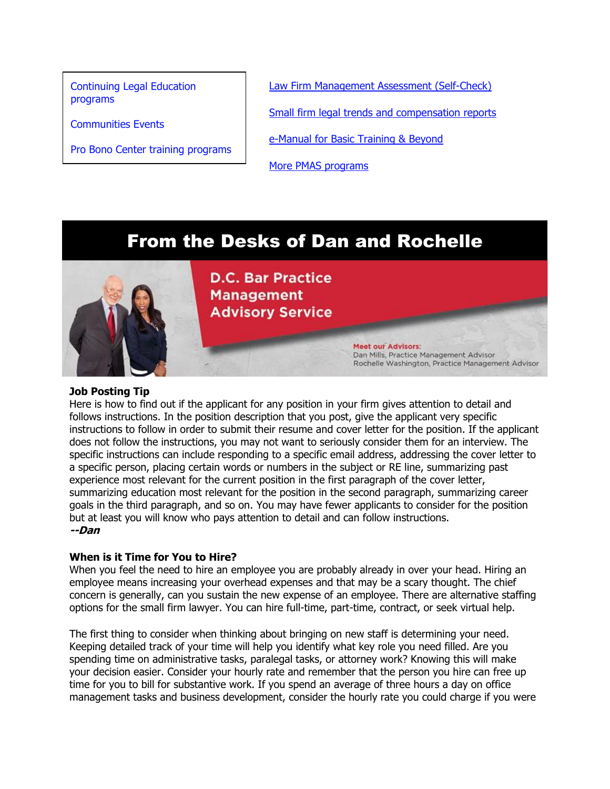[Continuing Legal Education](https://join.dcbar.org/eweb/DynamicPage.aspx?Site=DCBar&WebKey=cbe606bc-88d4-4d37-872c-f48d412a59e5&evt_etc_key=7aaf572d-f662-422f-9fe7-0ae3f4b705be&utm_source=Real%20Magnet&utm_medium=INSERT_CHANNEL&utm_campaign=INSERT_LINK_ID)  [programs](https://join.dcbar.org/eweb/DynamicPage.aspx?Site=DCBar&WebKey=cbe606bc-88d4-4d37-872c-f48d412a59e5&evt_etc_key=7aaf572d-f662-422f-9fe7-0ae3f4b705be&utm_source=Real%20Magnet&utm_medium=INSERT_CHANNEL&utm_campaign=INSERT_LINK_ID)

[Communities Events](https://join.dcbar.org/eweb/DynamicPage.aspx?site=dcbar&webcode=EventList&utm_source=Real%20Magnet&utm_medium=INSERT_CHANNEL&utm_campaign=INSERT_LINK_ID)

[Pro Bono Center training programs](http://www.dcbar.org/pro-bono/resources-and-training/pro-bono-training.cfm?utm_source=Real%20Magnet&utm_medium=INSERT_CHANNEL&utm_campaign=INSERT_LINK_ID)

[Law Firm Management Assessment \(Self-Check\)](https://www.dcbar.org/bar-resources/practice-management-advisory-service/selfcheck.cfm?utm_source=Real%20Magnet&utm_medium=INSERT_CHANNEL&utm_campaign=INSERT_LINK_ID)

[Small firm legal trends and compensation reports](http://www.dcbar.org/bar-resources/practice-management-advisory-service/basic-training-supplement.cfm?utm_source=Real%20Magnet&utm_medium=INSERT_CHANNEL&utm_campaign=INSERT_LINK_ID)

**Meet our Advisors:** 

Dan Mills, Practice Management Advisor

Rochelle Washington, Practice Management Advisor

[e-Manual for Basic Training & Beyond](http://www.dcbar.org/bar-resources/practice-management-advisory-service/upload/eManual-050316.pdf?utm_source=Real%20Magnet&utm_medium=INSERT_CHANNEL&utm_campaign=INSERT_LINK_ID)

[More PMAS programs](http://www.dcbar.org/bar-resources/practice-management-advisory-service/?utm_source=Real%20Magnet&utm_medium=INSERT_CHANNEL&utm_campaign=INSERT_LINK_ID)

### From the Desks of Dan and Rochelle



**D.C. Bar Practice Management Advisory Service** 

#### **Job Posting Tip**

Here is how to find out if the applicant for any position in your firm gives attention to detail and follows instructions. In the position description that you post, give the applicant very specific instructions to follow in order to submit their resume and cover letter for the position. If the applicant does not follow the instructions, you may not want to seriously consider them for an interview. The specific instructions can include responding to a specific email address, addressing the cover letter to a specific person, placing certain words or numbers in the subject or RE line, summarizing past experience most relevant for the current position in the first paragraph of the cover letter, summarizing education most relevant for the position in the second paragraph, summarizing career goals in the third paragraph, and so on. You may have fewer applicants to consider for the position but at least you will know who pays attention to detail and can follow instructions. **--Dan**

#### **When is it Time for You to Hire?**

When you feel the need to hire an employee you are probably already in over your head. Hiring an employee means increasing your overhead expenses and that may be a scary thought. The chief concern is generally, can you sustain the new expense of an employee. There are alternative staffing options for the small firm lawyer. You can hire full-time, part-time, contract, or seek virtual help.

The first thing to consider when thinking about bringing on new staff is determining your need. Keeping detailed track of your time will help you identify what key role you need filled. Are you spending time on administrative tasks, paralegal tasks, or attorney work? Knowing this will make your decision easier. Consider your hourly rate and remember that the person you hire can free up time for you to bill for substantive work. If you spend an average of three hours a day on office management tasks and business development, consider the hourly rate you could charge if you were